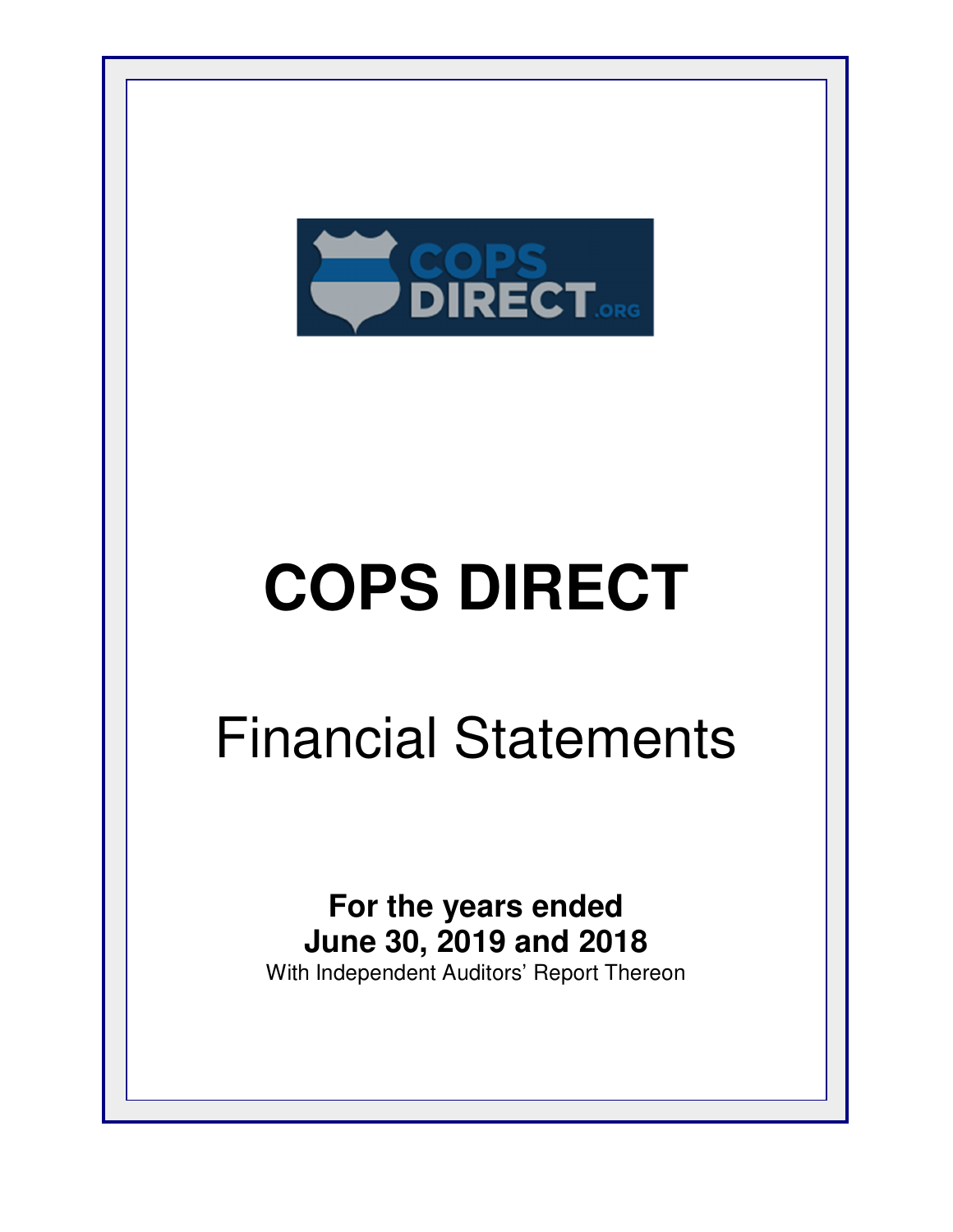

## Financial Statements

**For the years ended June 30, 2019 and 2018** With Independent Auditors' Report Thereon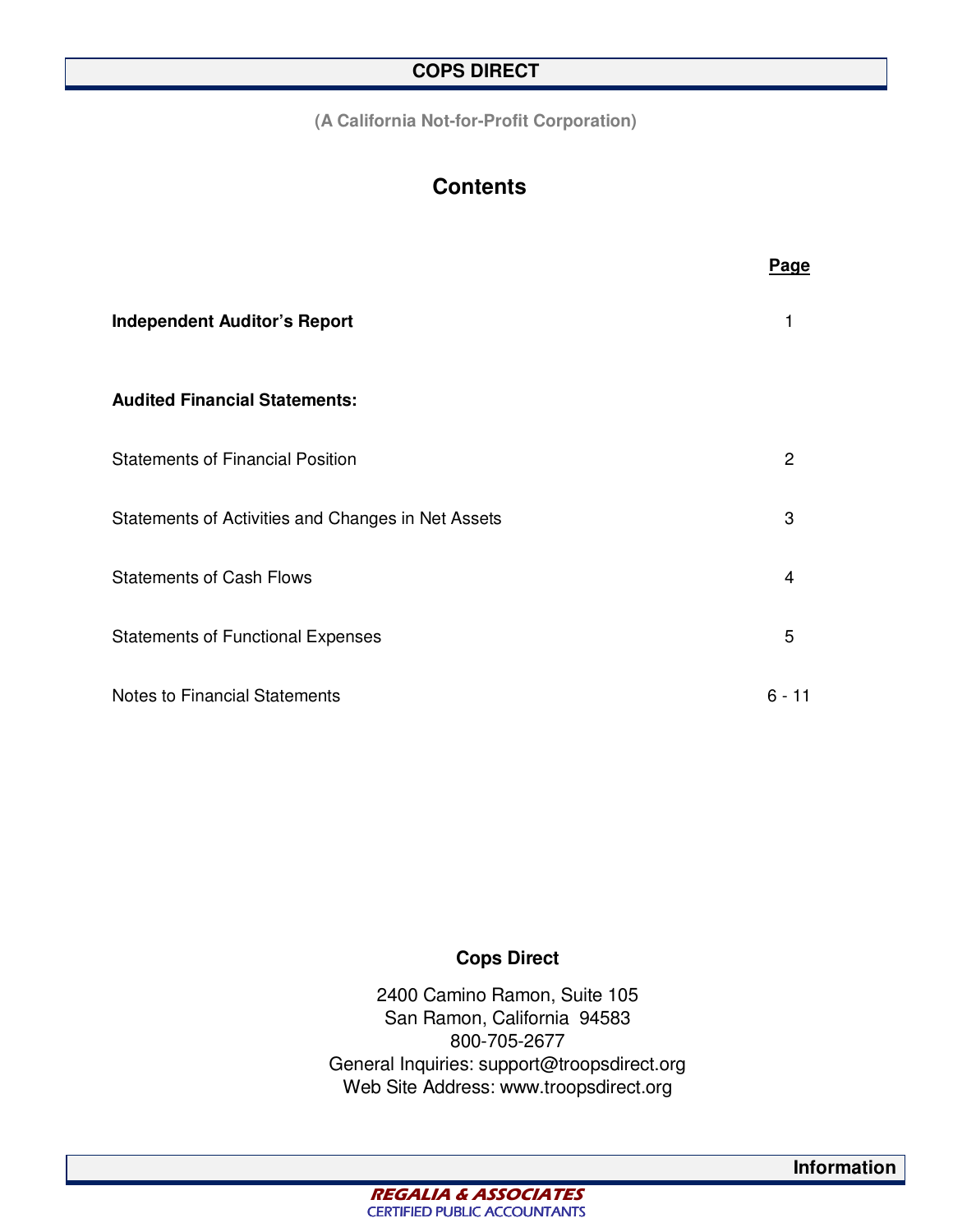**(A California Not-for-Profit Corporation)** 

## **Contents**

|                                                    | Page     |
|----------------------------------------------------|----------|
| <b>Independent Auditor's Report</b>                |          |
| <b>Audited Financial Statements:</b>               |          |
| <b>Statements of Financial Position</b>            | 2        |
| Statements of Activities and Changes in Net Assets | 3        |
| <b>Statements of Cash Flows</b>                    | 4        |
| <b>Statements of Functional Expenses</b>           | 5        |
| Notes to Financial Statements                      | $6 - 11$ |

#### **Cops Direct**

2400 Camino Ramon, Suite 105 San Ramon, California 94583 800-705-2677 General Inquiries: support@troopsdirect.org Web Site Address: www.troopsdirect.org

**Information**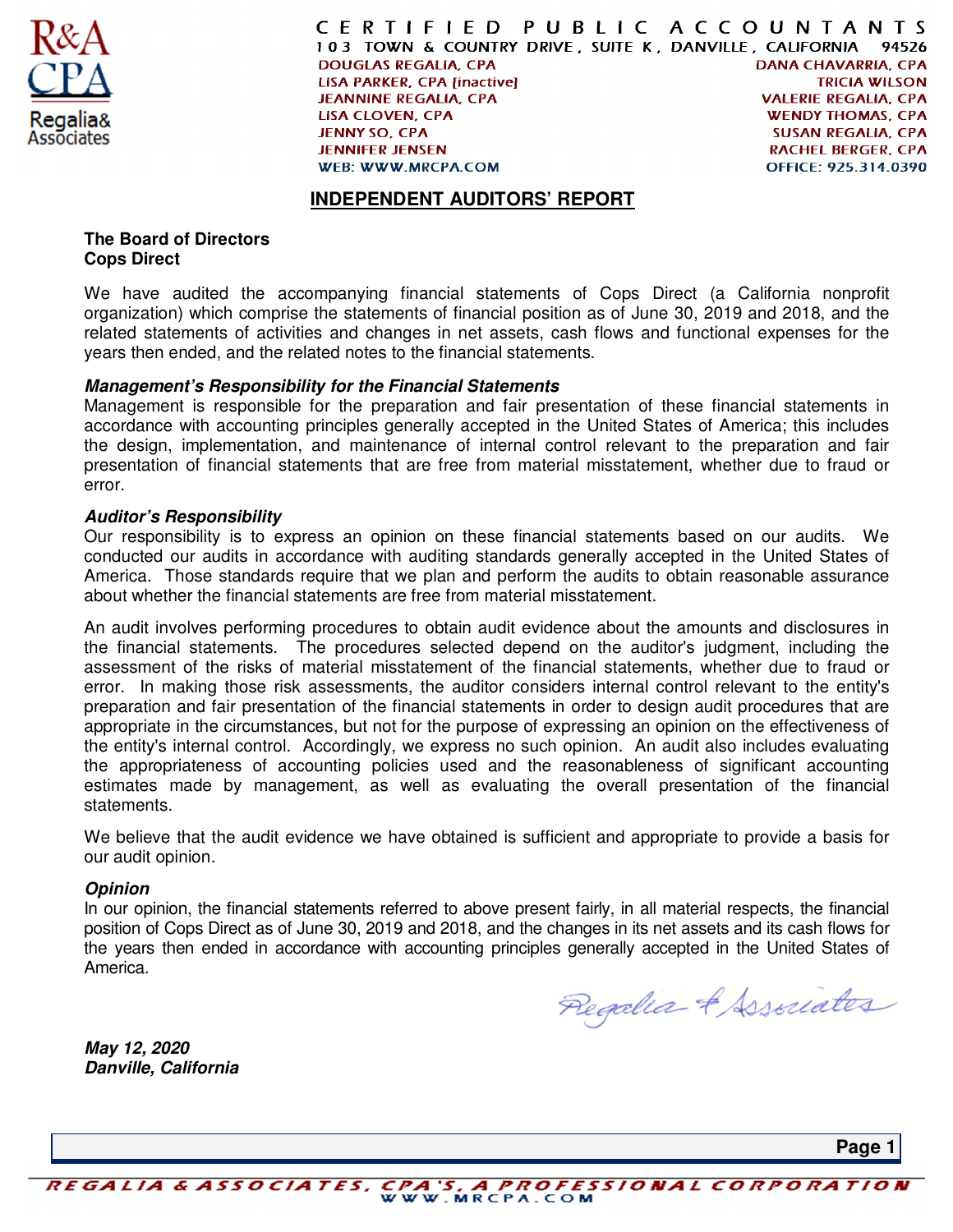

CERTIFIED PUBLIC ACCOUNTANTS 103 TOWN & COUNTRY DRIVE, SUITE K, DANVILLE, CALIFORNIA 94526 **DANA CHAVARRIA, CPA DOUGLAS REGALIA, CPA LISA PARKER, CPA [inactive] TRICIA WILSON JEANNINE REGALIA, CPA VALERIE REGALIA. CPA LISA CLOVEN, CPA WENDY THOMAS, CPA JENNY SO, CPA SUSAN REGALIA, CPA JENNIFER JENSEN RACHEL BERGER, CPA** OFFICE: 925.314.0390 **WEB: WWW.MRCPA.COM** 

#### **INDEPENDENT AUDITORS' REPORT**

#### **The Board of Directors Cops Direct**

We have audited the accompanying financial statements of Cops Direct (a California nonprofit organization) which comprise the statements of financial position as of June 30, 2019 and 2018, and the related statements of activities and changes in net assets, cash flows and functional expenses for the years then ended, and the related notes to the financial statements.

#### **Management's Responsibility for the Financial Statements**

Management is responsible for the preparation and fair presentation of these financial statements in accordance with accounting principles generally accepted in the United States of America; this includes the design, implementation, and maintenance of internal control relevant to the preparation and fair presentation of financial statements that are free from material misstatement, whether due to fraud or error.

#### **Auditor's Responsibility**

Our responsibility is to express an opinion on these financial statements based on our audits. We conducted our audits in accordance with auditing standards generally accepted in the United States of America. Those standards require that we plan and perform the audits to obtain reasonable assurance about whether the financial statements are free from material misstatement.

An audit involves performing procedures to obtain audit evidence about the amounts and disclosures in the financial statements. The procedures selected depend on the auditor's judgment, including the assessment of the risks of material misstatement of the financial statements, whether due to fraud or error. In making those risk assessments, the auditor considers internal control relevant to the entity's preparation and fair presentation of the financial statements in order to design audit procedures that are appropriate in the circumstances, but not for the purpose of expressing an opinion on the effectiveness of the entity's internal control. Accordingly, we express no such opinion. An audit also includes evaluating the appropriateness of accounting policies used and the reasonableness of significant accounting estimates made by management, as well as evaluating the overall presentation of the financial statements.

We believe that the audit evidence we have obtained is sufficient and appropriate to provide a basis for our audit opinion.

#### **Opinion**

In our opinion, the financial statements referred to above present fairly, in all material respects, the financial position of Cops Direct as of June 30, 2019 and 2018, and the changes in its net assets and its cash flows for the years then ended in accordance with accounting principles generally accepted in the United States of America.

Regalia & Associates

**May 12, 2020 Danville, California** 

**Page 1**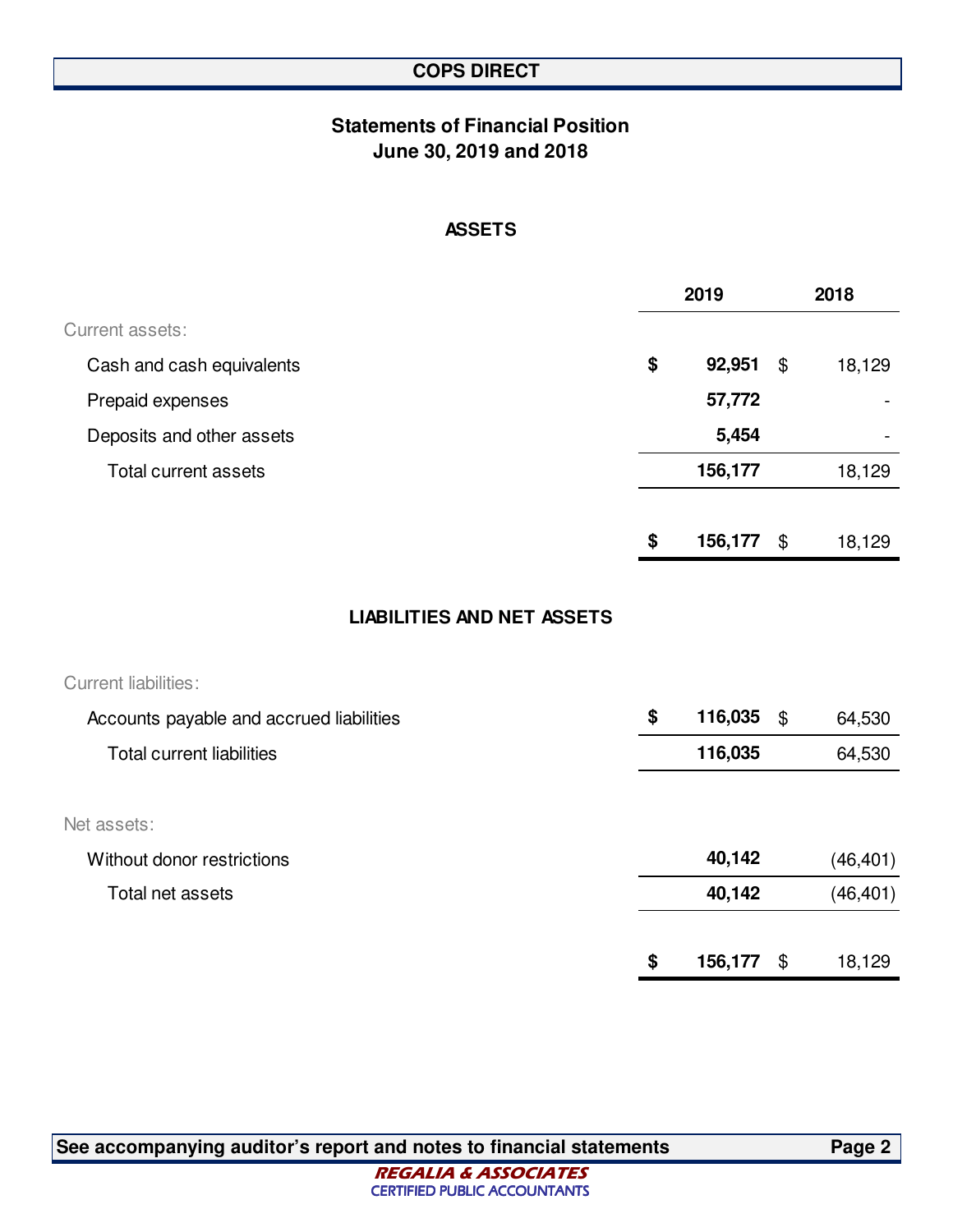## **Statements of Financial Position June 30, 2019 and 2018**

#### **ASSETS**

|                           | 2019          | 2018 |        |
|---------------------------|---------------|------|--------|
| Current assets:           |               |      |        |
| Cash and cash equivalents | \$<br>92,951  | \$   | 18,129 |
| Prepaid expenses          | 57,772        |      |        |
| Deposits and other assets | 5,454         |      |        |
| Total current assets      | 156,177       |      | 18,129 |
|                           |               |      |        |
|                           | \$<br>156,177 | \$   | 18,129 |
|                           |               |      |        |

#### **LIABILITIES AND NET ASSETS**

| <b>Current liabilities:</b>              |                  |              |
|------------------------------------------|------------------|--------------|
| Accounts payable and accrued liabilities | \$<br>116,035 \$ | 64,530       |
| <b>Total current liabilities</b>         | 116,035          | 64,530       |
|                                          |                  |              |
| Net assets:                              |                  |              |
| Without donor restrictions               | 40,142           | (46, 401)    |
| Total net assets                         | 40,142           | (46, 401)    |
|                                          |                  |              |
|                                          | \$<br>156,177    | \$<br>18,129 |

**See accompanying auditor's report and notes to financial statements Page 2**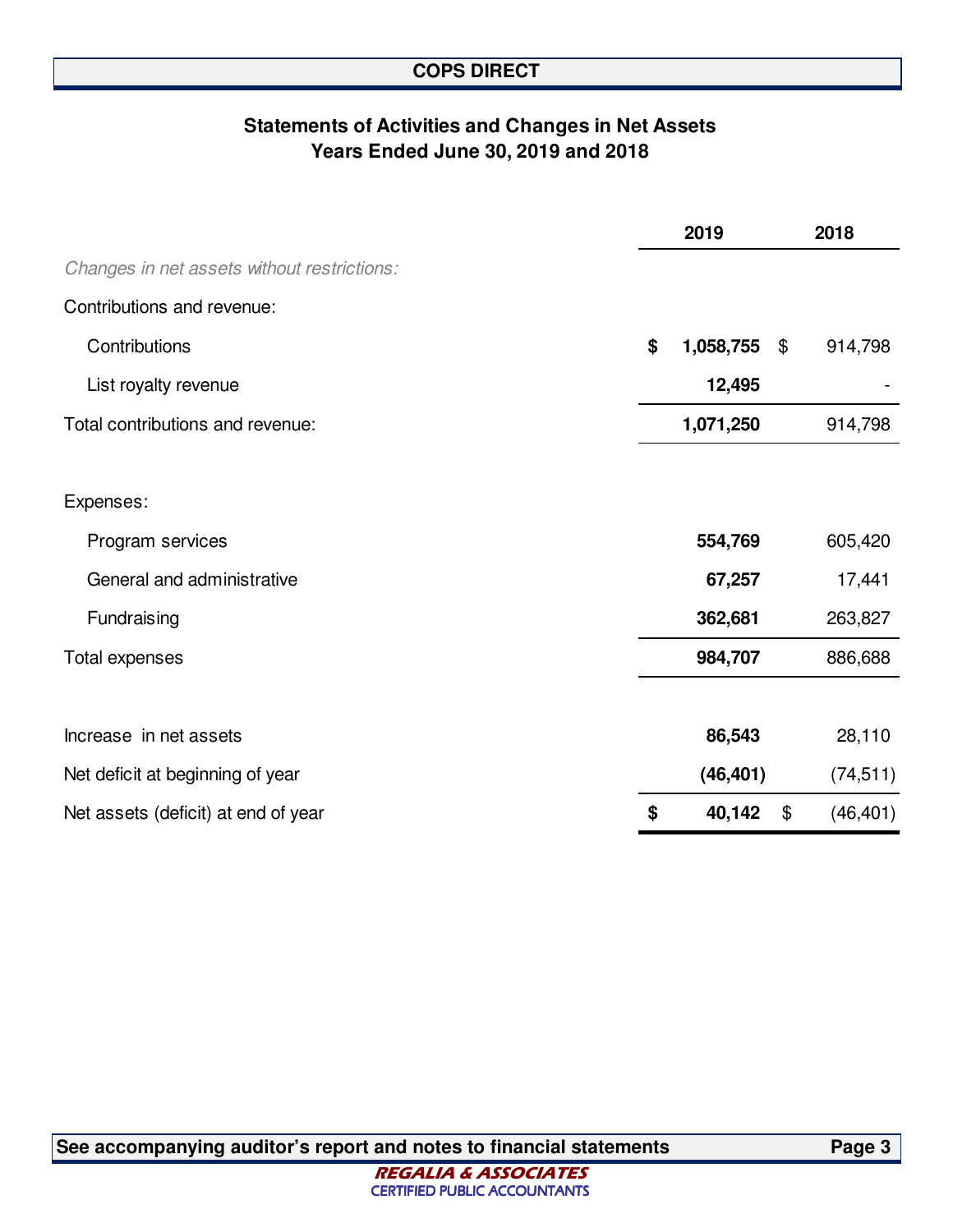## **Statements of Activities and Changes in Net Assets Years Ended June 30, 2019 and 2018**

|                                             | 2019            |                            | 2018      |
|---------------------------------------------|-----------------|----------------------------|-----------|
| Changes in net assets without restrictions: |                 |                            |           |
| Contributions and revenue:                  |                 |                            |           |
| Contributions                               | \$<br>1,058,755 | $\boldsymbol{\mathcal{F}}$ | 914,798   |
| List royalty revenue                        | 12,495          |                            |           |
| Total contributions and revenue:            | 1,071,250       |                            | 914,798   |
|                                             |                 |                            |           |
| Expenses:                                   |                 |                            |           |
| Program services                            | 554,769         |                            | 605,420   |
| General and administrative                  | 67,257          |                            | 17,441    |
| Fundraising                                 | 362,681         |                            | 263,827   |
| <b>Total expenses</b>                       | 984,707         |                            | 886,688   |
|                                             |                 |                            |           |
| Increase in net assets                      | 86,543          |                            | 28,110    |
| Net deficit at beginning of year            | (46, 401)       |                            | (74, 511) |
| Net assets (deficit) at end of year         | \$<br>40,142    | \$                         | (46, 401) |

**See accompanying auditor's report and notes to financial statements Page 3**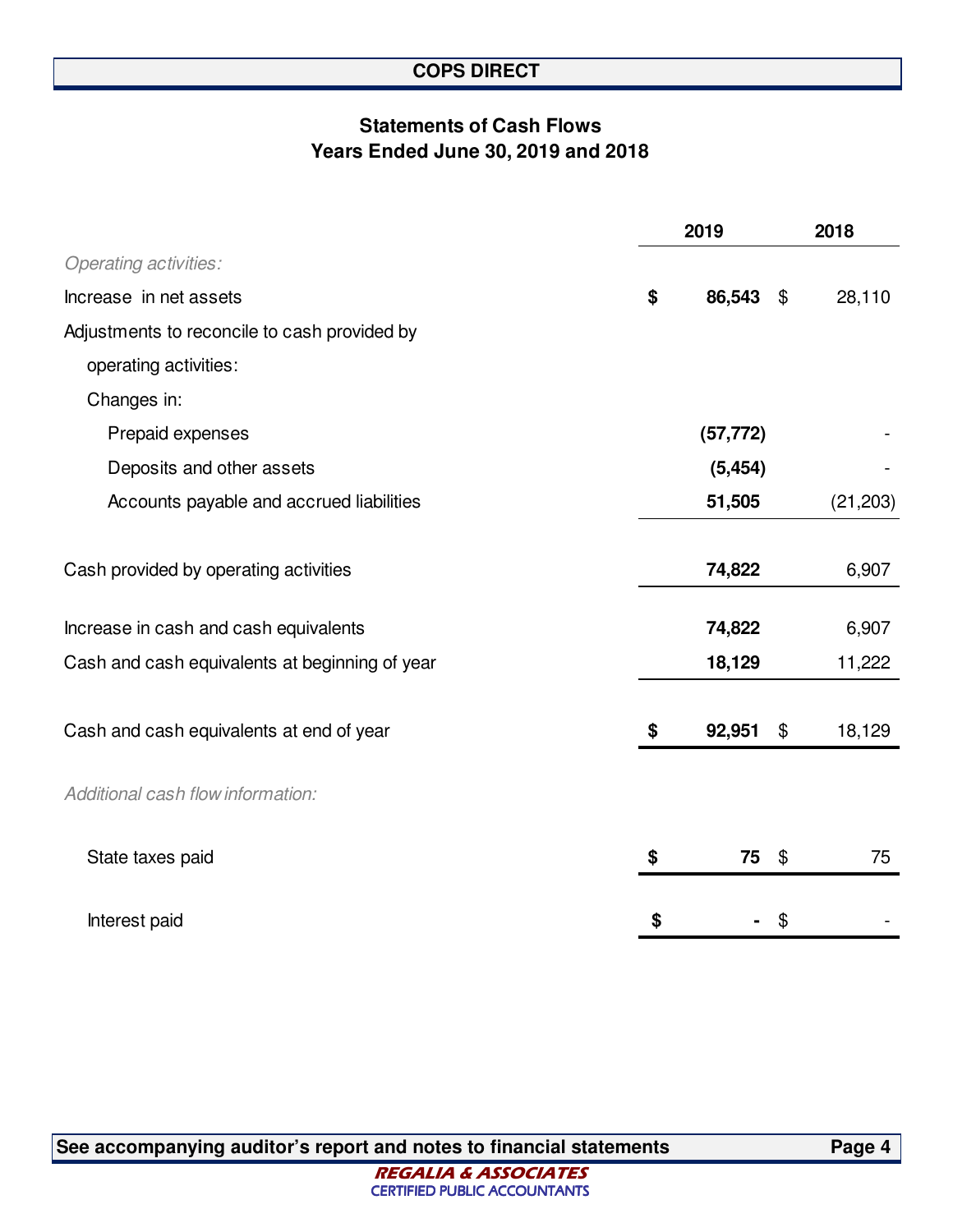## **Statements of Cash Flows Years Ended June 30, 2019 and 2018**

|                                                | 2019               | 2018      |  |
|------------------------------------------------|--------------------|-----------|--|
| <b>Operating activities:</b>                   |                    |           |  |
| Increase in net assets                         | \$<br>86,543 \$    | 28,110    |  |
| Adjustments to reconcile to cash provided by   |                    |           |  |
| operating activities:                          |                    |           |  |
| Changes in:                                    |                    |           |  |
| Prepaid expenses                               | (57, 772)          |           |  |
| Deposits and other assets                      | (5, 454)           |           |  |
| Accounts payable and accrued liabilities       | 51,505             | (21, 203) |  |
|                                                |                    |           |  |
| Cash provided by operating activities          | 74,822             | 6,907     |  |
|                                                |                    |           |  |
| Increase in cash and cash equivalents          | 74,822             | 6,907     |  |
| Cash and cash equivalents at beginning of year | 18,129             | 11,222    |  |
|                                                |                    |           |  |
| Cash and cash equivalents at end of year       | \$<br>92,951<br>\$ | 18,129    |  |
|                                                |                    |           |  |
| Additional cash flow information:              |                    |           |  |
| State taxes paid                               | \$<br>75 \$        | 75        |  |
|                                                |                    |           |  |
| Interest paid                                  | \$<br>\$           |           |  |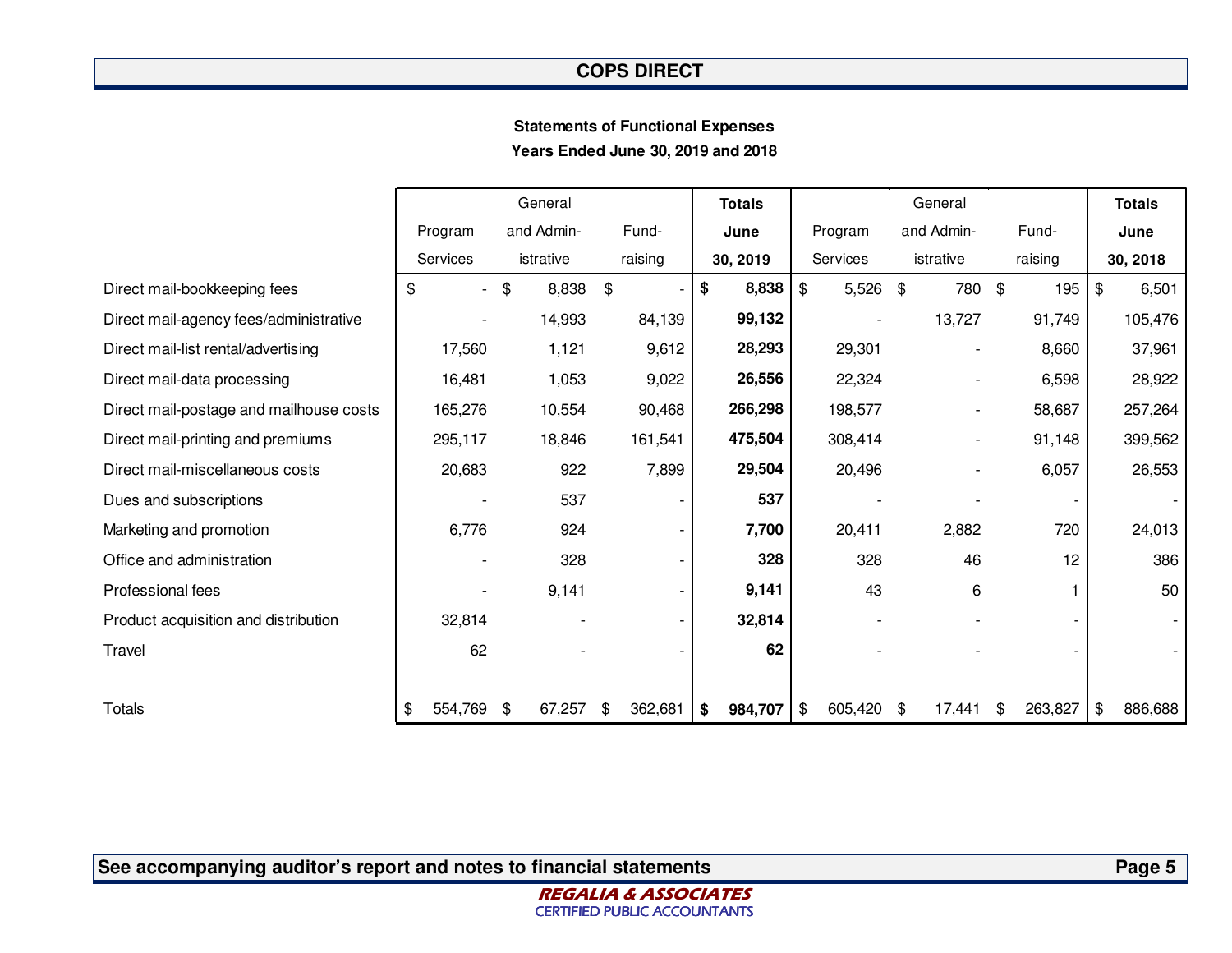#### **Statements of Functional ExpensesYears Ended June 30, 2019 and 2018**

|                                         |                                | General      |               | <b>Totals</b> |                        | General                  |              | <b>Totals</b> |
|-----------------------------------------|--------------------------------|--------------|---------------|---------------|------------------------|--------------------------|--------------|---------------|
|                                         | Program                        | and Admin-   | Fund-         | June          | Program                | and Admin-               | Fund-        | June          |
|                                         | <b>Services</b>                | istrative    | raising       | 30, 2019      | Services               | istrative                | raising      | 30, 2018      |
| Direct mail-bookkeeping fees            | \$<br>$\overline{\phantom{0}}$ | 8,838<br>\$  | \$            | 8,838<br>\$   | $\sqrt[6]{2}$<br>5,526 | 780 \$<br>\$             | 195          | \$<br>6,501   |
| Direct mail-agency fees/administrative  |                                | 14,993       | 84,139        | 99,132        |                        | 13,727                   | 91,749       | 105,476       |
| Direct mail-list rental/advertising     | 17,560                         | 1,121        | 9,612         | 28,293        | 29,301                 | $\overline{\phantom{a}}$ | 8,660        | 37,961        |
| Direct mail-data processing             | 16,481                         | 1,053        | 9,022         | 26,556        | 22,324                 | $\overline{\phantom{a}}$ | 6,598        | 28,922        |
| Direct mail-postage and mailhouse costs | 165,276                        | 10,554       | 90,468        | 266,298       | 198,577                | $\overline{\phantom{a}}$ | 58,687       | 257,264       |
| Direct mail-printing and premiums       | 295,117                        | 18,846       | 161,541       | 475,504       | 308,414                | $\overline{\phantom{a}}$ | 91,148       | 399,562       |
| Direct mail-miscellaneous costs         | 20,683                         | 922          | 7,899         | 29,504        | 20,496                 |                          | 6,057        | 26,553        |
| Dues and subscriptions                  |                                | 537          |               | 537           |                        |                          |              |               |
| Marketing and promotion                 | 6,776                          | 924          |               | 7,700         | 20,411                 | 2,882                    | 720          | 24,013        |
| Office and administration               |                                | 328          |               | 328           | 328                    | 46                       | 12           | 386           |
| Professional fees                       | $\overline{\phantom{a}}$       | 9,141        |               | 9,141         | 43                     | 6                        |              | 50            |
| Product acquisition and distribution    | 32,814                         |              |               | 32,814        |                        |                          |              |               |
| Travel                                  | 62                             |              |               | 62            |                        |                          |              |               |
|                                         |                                |              |               |               |                        |                          |              |               |
| <b>Totals</b>                           | \$<br>554,769                  | 67,257<br>\$ | 362,681<br>\$ | 984,707<br>\$ | 605,420<br>\$          | 17,441<br>\$             | 263,827<br>S | \$<br>886,688 |

**See accompanying auditor's report and notes to financial statements**

**Page 5**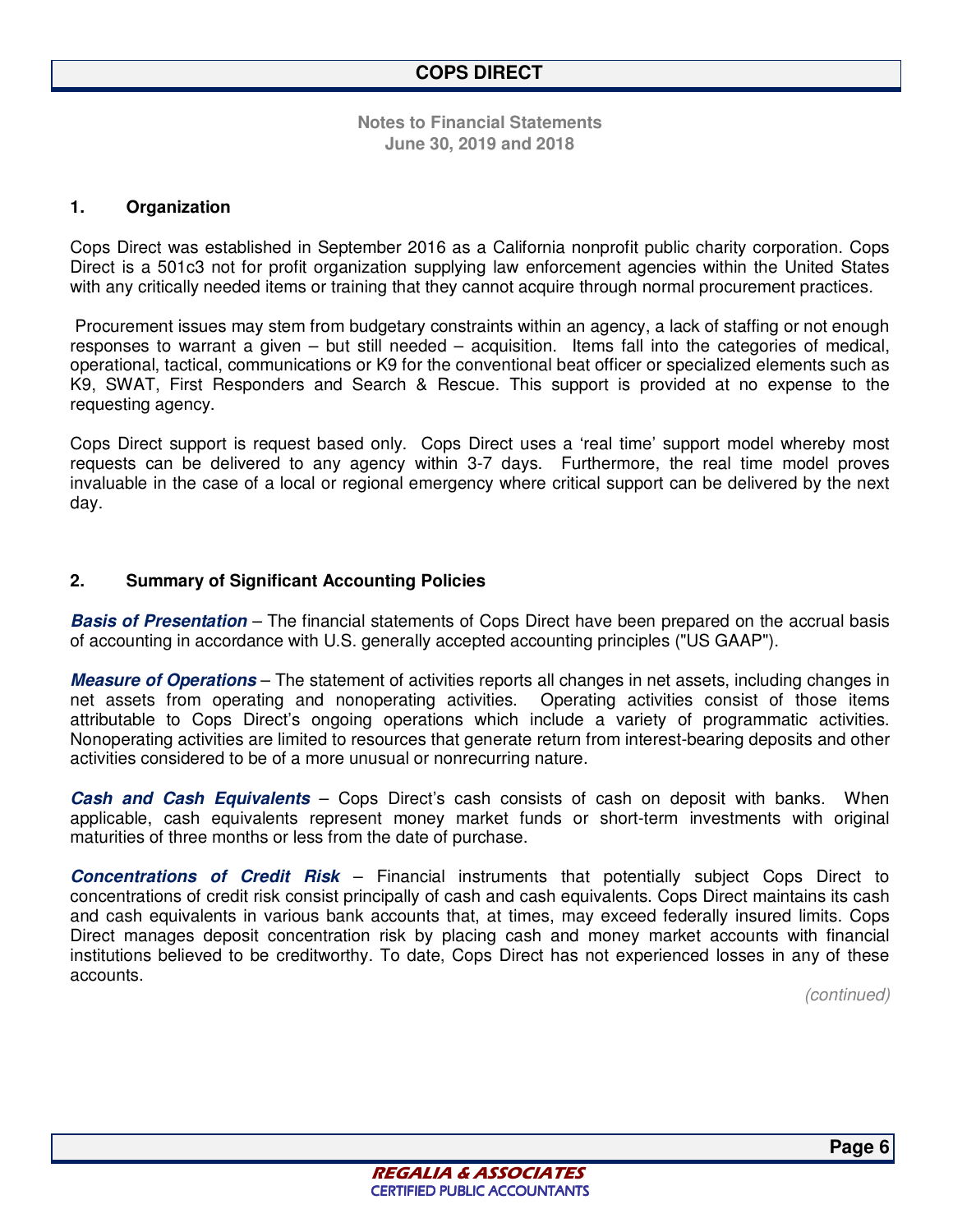#### **1. Organization**

Cops Direct was established in September 2016 as a California nonprofit public charity corporation. Cops Direct is a 501c3 not for profit organization supplying law enforcement agencies within the United States with any critically needed items or training that they cannot acquire through normal procurement practices.

 Procurement issues may stem from budgetary constraints within an agency, a lack of staffing or not enough responses to warrant a given – but still needed – acquisition. Items fall into the categories of medical, operational, tactical, communications or K9 for the conventional beat officer or specialized elements such as K9, SWAT, First Responders and Search & Rescue. This support is provided at no expense to the requesting agency.

Cops Direct support is request based only. Cops Direct uses a 'real time' support model whereby most requests can be delivered to any agency within 3-7 days. Furthermore, the real time model proves invaluable in the case of a local or regional emergency where critical support can be delivered by the next day.

#### **2. Summary of Significant Accounting Policies**

**Basis of Presentation** – The financial statements of Cops Direct have been prepared on the accrual basis of accounting in accordance with U.S. generally accepted accounting principles ("US GAAP").

**Measure of Operations** – The statement of activities reports all changes in net assets, including changes in net assets from operating and nonoperating activities. Operating activities consist of those items attributable to Cops Direct's ongoing operations which include a variety of programmatic activities. Nonoperating activities are limited to resources that generate return from interest-bearing deposits and other activities considered to be of a more unusual or nonrecurring nature.

**Cash and Cash Equivalents** – Cops Direct's cash consists of cash on deposit with banks. When applicable, cash equivalents represent money market funds or short-term investments with original maturities of three months or less from the date of purchase.

**Concentrations of Credit Risk** – Financial instruments that potentially subject Cops Direct to concentrations of credit risk consist principally of cash and cash equivalents. Cops Direct maintains its cash and cash equivalents in various bank accounts that, at times, may exceed federally insured limits. Cops Direct manages deposit concentration risk by placing cash and money market accounts with financial institutions believed to be creditworthy. To date, Cops Direct has not experienced losses in any of these accounts.

*(continued)*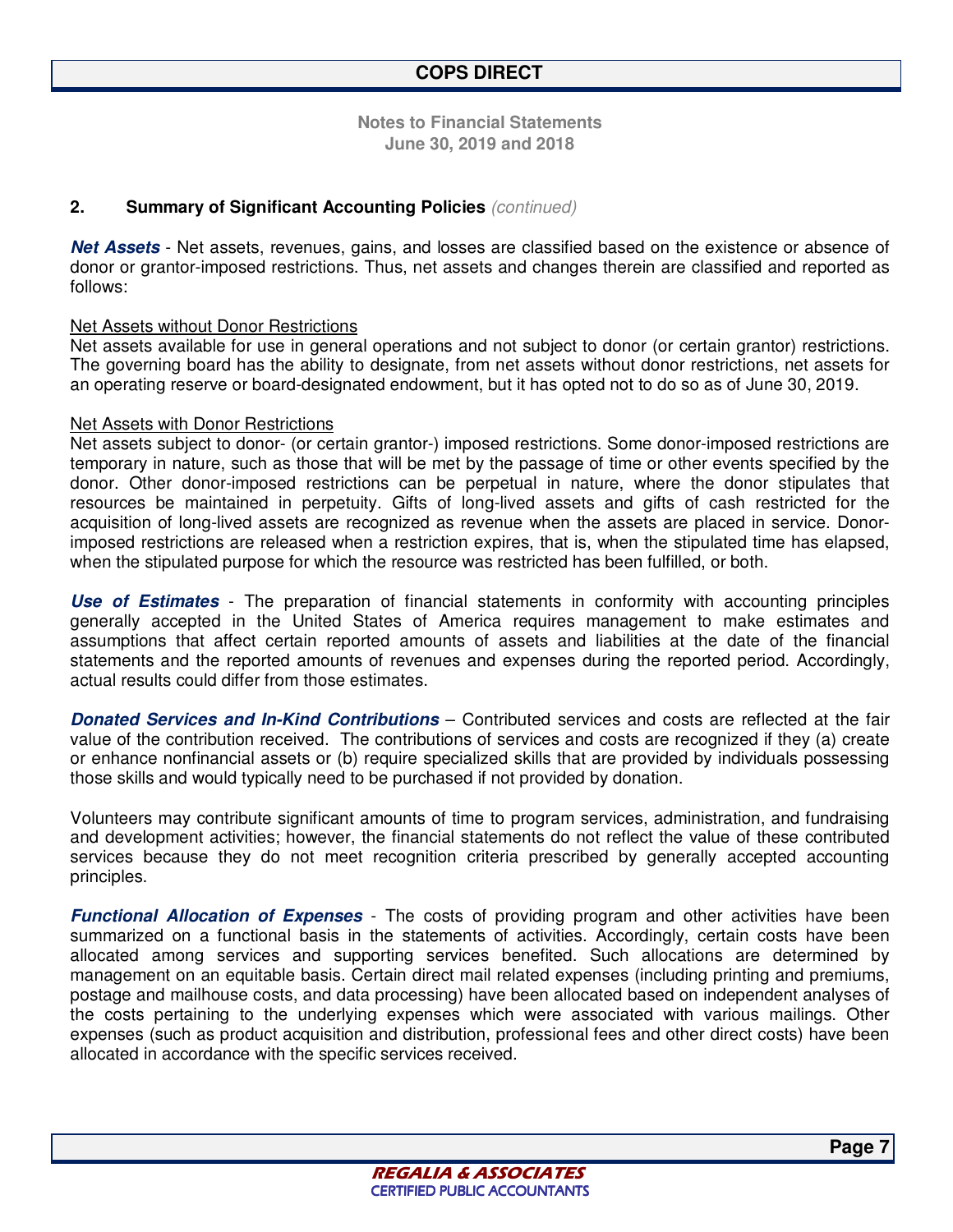#### **2. Summary of Significant Accounting Policies** *(continued)*

**Net Assets** - Net assets, revenues, gains, and losses are classified based on the existence or absence of donor or grantor-imposed restrictions. Thus, net assets and changes therein are classified and reported as follows:

#### Net Assets without Donor Restrictions

Net assets available for use in general operations and not subject to donor (or certain grantor) restrictions. The governing board has the ability to designate, from net assets without donor restrictions, net assets for an operating reserve or board-designated endowment, but it has opted not to do so as of June 30, 2019.

#### Net Assets with Donor Restrictions

Net assets subject to donor- (or certain grantor-) imposed restrictions. Some donor-imposed restrictions are temporary in nature, such as those that will be met by the passage of time or other events specified by the donor. Other donor-imposed restrictions can be perpetual in nature, where the donor stipulates that resources be maintained in perpetuity. Gifts of long-lived assets and gifts of cash restricted for the acquisition of long-lived assets are recognized as revenue when the assets are placed in service. Donorimposed restrictions are released when a restriction expires, that is, when the stipulated time has elapsed, when the stipulated purpose for which the resource was restricted has been fulfilled, or both.

**Use of Estimates** - The preparation of financial statements in conformity with accounting principles generally accepted in the United States of America requires management to make estimates and assumptions that affect certain reported amounts of assets and liabilities at the date of the financial statements and the reported amounts of revenues and expenses during the reported period. Accordingly, actual results could differ from those estimates.

**Donated Services and In-Kind Contributions** – Contributed services and costs are reflected at the fair value of the contribution received. The contributions of services and costs are recognized if they (a) create or enhance nonfinancial assets or (b) require specialized skills that are provided by individuals possessing those skills and would typically need to be purchased if not provided by donation.

Volunteers may contribute significant amounts of time to program services, administration, and fundraising and development activities; however, the financial statements do not reflect the value of these contributed services because they do not meet recognition criteria prescribed by generally accepted accounting principles.

**Functional Allocation of Expenses** - The costs of providing program and other activities have been summarized on a functional basis in the statements of activities. Accordingly, certain costs have been allocated among services and supporting services benefited. Such allocations are determined by management on an equitable basis. Certain direct mail related expenses (including printing and premiums, postage and mailhouse costs, and data processing) have been allocated based on independent analyses of the costs pertaining to the underlying expenses which were associated with various mailings. Other expenses (such as product acquisition and distribution, professional fees and other direct costs) have been allocated in accordance with the specific services received.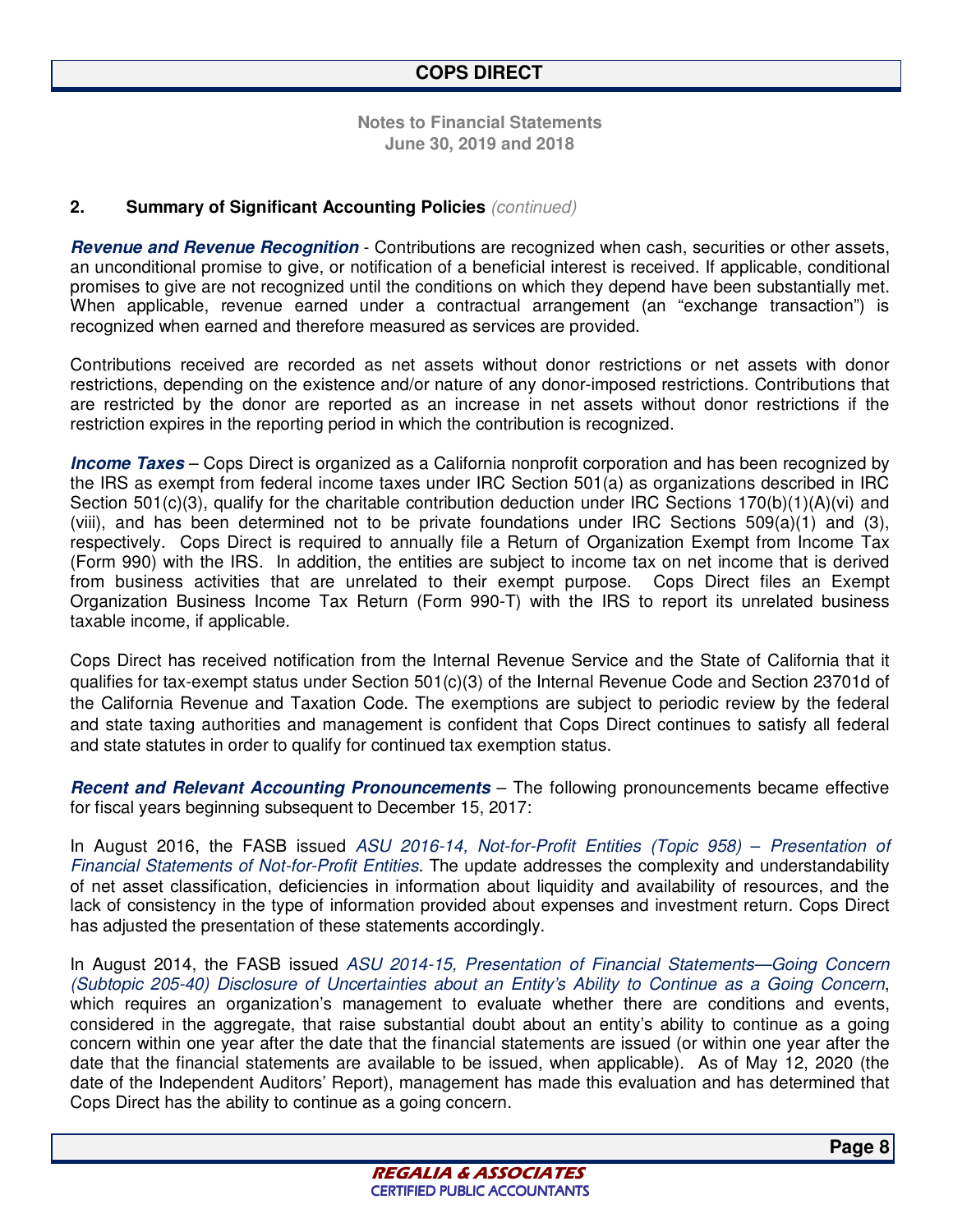#### **2. Summary of Significant Accounting Policies** *(continued)*

**Revenue and Revenue Recognition** - Contributions are recognized when cash, securities or other assets, an unconditional promise to give, or notification of a beneficial interest is received. If applicable, conditional promises to give are not recognized until the conditions on which they depend have been substantially met. When applicable, revenue earned under a contractual arrangement (an "exchange transaction") is recognized when earned and therefore measured as services are provided.

Contributions received are recorded as net assets without donor restrictions or net assets with donor restrictions, depending on the existence and/or nature of any donor-imposed restrictions. Contributions that are restricted by the donor are reported as an increase in net assets without donor restrictions if the restriction expires in the reporting period in which the contribution is recognized.

**Income Taxes** – Cops Direct is organized as a California nonprofit corporation and has been recognized by the IRS as exempt from federal income taxes under IRC Section 501(a) as organizations described in IRC Section 501(c)(3), qualify for the charitable contribution deduction under IRC Sections 170(b)(1)(A)(vi) and (viii), and has been determined not to be private foundations under IRC Sections 509(a)(1) and (3), respectively. Cops Direct is required to annually file a Return of Organization Exempt from Income Tax (Form 990) with the IRS. In addition, the entities are subject to income tax on net income that is derived from business activities that are unrelated to their exempt purpose. Cops Direct files an Exempt Organization Business Income Tax Return (Form 990-T) with the IRS to report its unrelated business taxable income, if applicable.

Cops Direct has received notification from the Internal Revenue Service and the State of California that it qualifies for tax-exempt status under Section 501(c)(3) of the Internal Revenue Code and Section 23701d of the California Revenue and Taxation Code. The exemptions are subject to periodic review by the federal and state taxing authorities and management is confident that Cops Direct continues to satisfy all federal and state statutes in order to qualify for continued tax exemption status.

**Recent and Relevant Accounting Pronouncements** – The following pronouncements became effective for fiscal years beginning subsequent to December 15, 2017:

In August 2016, the FASB issued *ASU 2016-14, Not-for-Profit Entities (Topic 958)* – *Presentation of Financial Statements of Not-for-Profit Entities*. The update addresses the complexity and understandability of net asset classification, deficiencies in information about liquidity and availability of resources, and the lack of consistency in the type of information provided about expenses and investment return. Cops Direct has adjusted the presentation of these statements accordingly.

In August 2014, the FASB issued *ASU 2014-15, Presentation of Financial Statements—Going Concern (Subtopic 205-40) Disclosure of Uncertainties about an Entity's Ability to Continue as a Going Concern*, which requires an organization's management to evaluate whether there are conditions and events, considered in the aggregate, that raise substantial doubt about an entity's ability to continue as a going concern within one year after the date that the financial statements are issued (or within one year after the date that the financial statements are available to be issued, when applicable). As of May 12, 2020 (the date of the Independent Auditors' Report), management has made this evaluation and has determined that Cops Direct has the ability to continue as a going concern.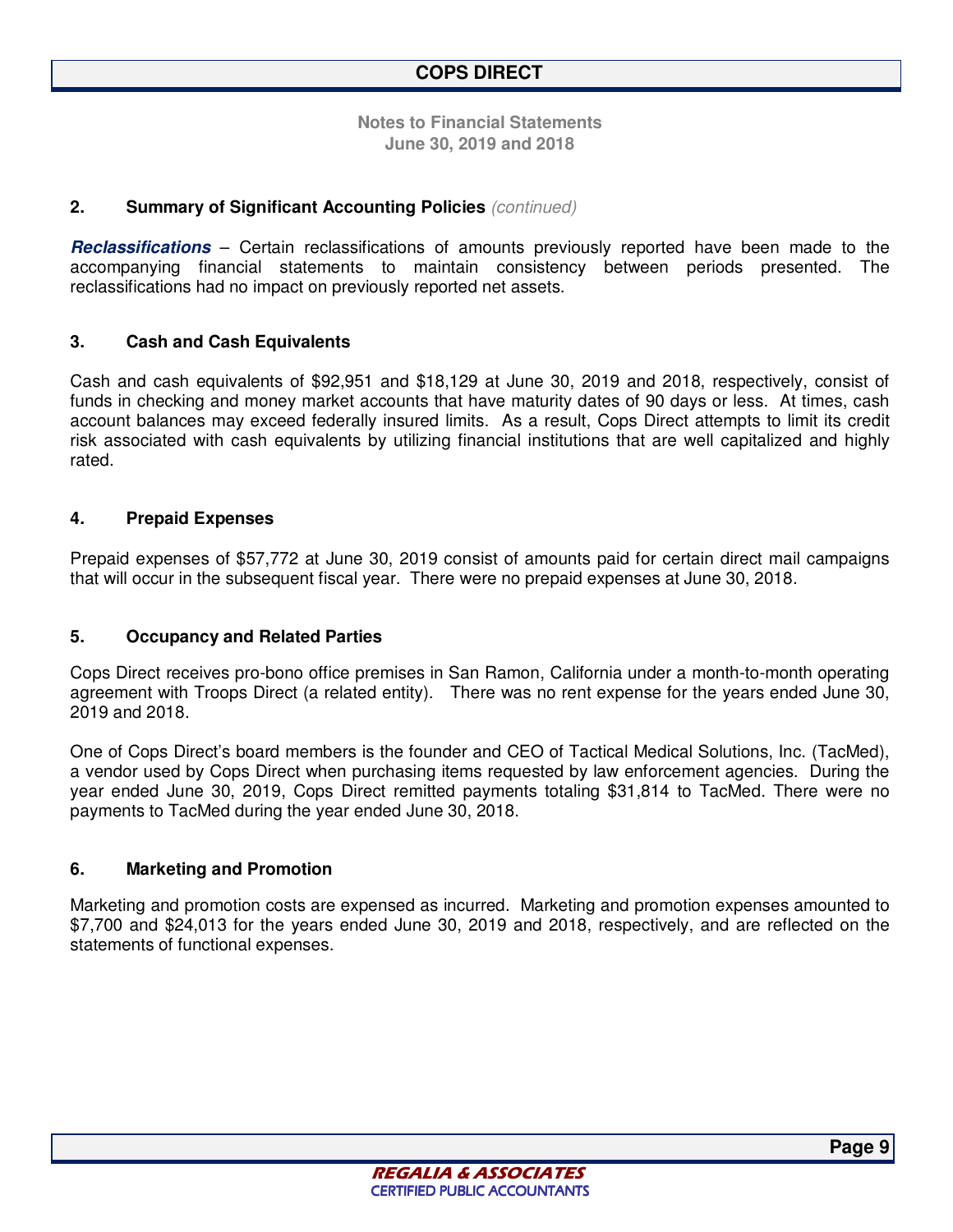#### **2. Summary of Significant Accounting Policies** *(continued)*

**Reclassifications** – Certain reclassifications of amounts previously reported have been made to the accompanying financial statements to maintain consistency between periods presented. The reclassifications had no impact on previously reported net assets.

#### **3. Cash and Cash Equivalents**

Cash and cash equivalents of \$92,951 and \$18,129 at June 30, 2019 and 2018, respectively, consist of funds in checking and money market accounts that have maturity dates of 90 days or less. At times, cash account balances may exceed federally insured limits. As a result, Cops Direct attempts to limit its credit risk associated with cash equivalents by utilizing financial institutions that are well capitalized and highly rated.

#### **4. Prepaid Expenses**

Prepaid expenses of \$57,772 at June 30, 2019 consist of amounts paid for certain direct mail campaigns that will occur in the subsequent fiscal year. There were no prepaid expenses at June 30, 2018.

#### **5. Occupancy and Related Parties**

Cops Direct receives pro-bono office premises in San Ramon, California under a month-to-month operating agreement with Troops Direct (a related entity). There was no rent expense for the years ended June 30, 2019 and 2018.

One of Cops Direct's board members is the founder and CEO of Tactical Medical Solutions, Inc. (TacMed), a vendor used by Cops Direct when purchasing items requested by law enforcement agencies. During the year ended June 30, 2019, Cops Direct remitted payments totaling \$31,814 to TacMed. There were no payments to TacMed during the year ended June 30, 2018.

#### **6. Marketing and Promotion**

Marketing and promotion costs are expensed as incurred. Marketing and promotion expenses amounted to \$7,700 and \$24,013 for the years ended June 30, 2019 and 2018, respectively, and are reflected on the statements of functional expenses.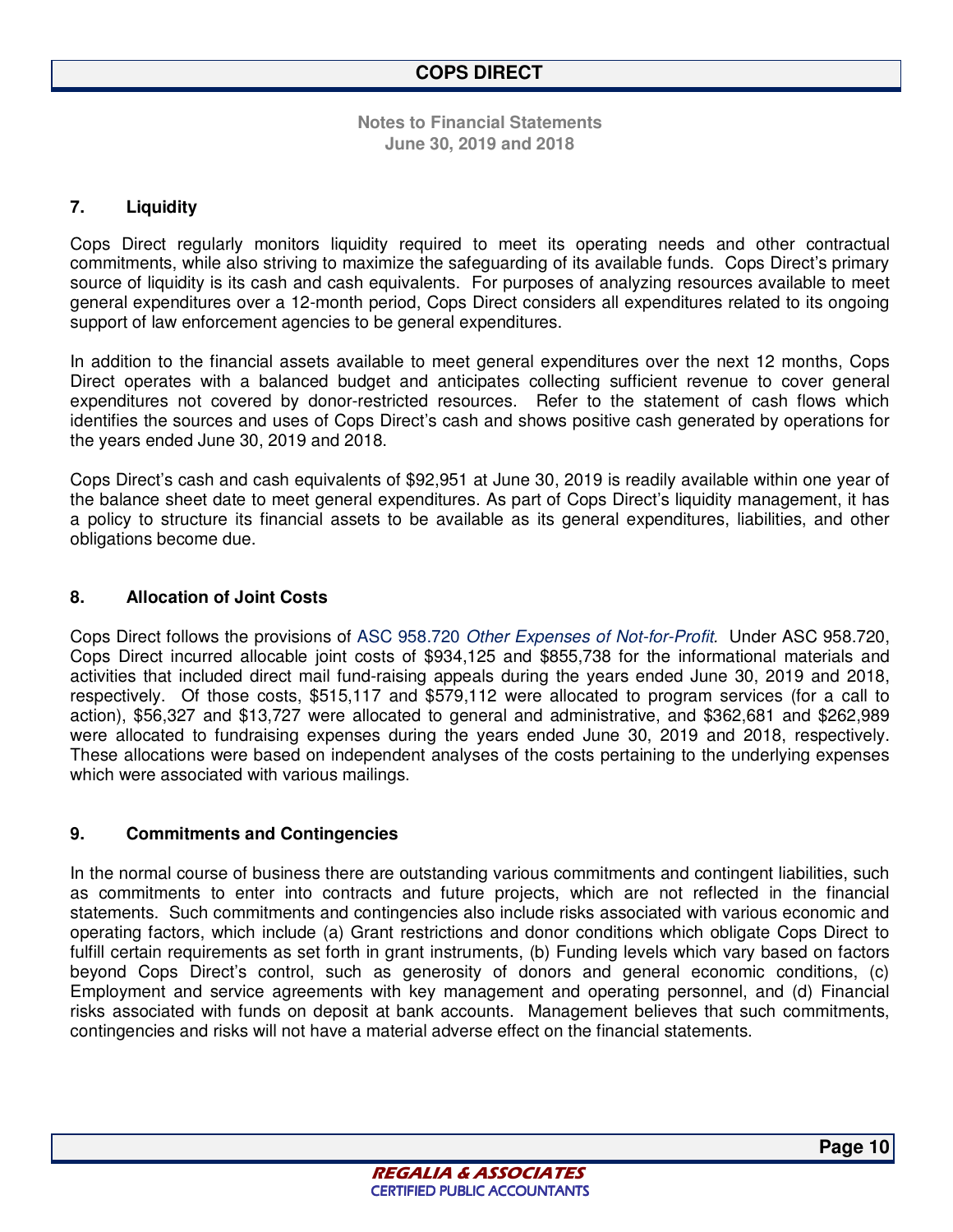#### **7. Liquidity**

Cops Direct regularly monitors liquidity required to meet its operating needs and other contractual commitments, while also striving to maximize the safeguarding of its available funds. Cops Direct's primary source of liquidity is its cash and cash equivalents. For purposes of analyzing resources available to meet general expenditures over a 12-month period, Cops Direct considers all expenditures related to its ongoing support of law enforcement agencies to be general expenditures.

In addition to the financial assets available to meet general expenditures over the next 12 months, Cops Direct operates with a balanced budget and anticipates collecting sufficient revenue to cover general expenditures not covered by donor-restricted resources. Refer to the statement of cash flows which identifies the sources and uses of Cops Direct's cash and shows positive cash generated by operations for the years ended June 30, 2019 and 2018.

Cops Direct's cash and cash equivalents of \$92,951 at June 30, 2019 is readily available within one year of the balance sheet date to meet general expenditures. As part of Cops Direct's liquidity management, it has a policy to structure its financial assets to be available as its general expenditures, liabilities, and other obligations become due.

#### **8. Allocation of Joint Costs**

Cops Direct follows the provisions of ASC 958.720 *Other Expenses of Not-for-Profit.* Under ASC 958.720, Cops Direct incurred allocable joint costs of \$934,125 and \$855,738 for the informational materials and activities that included direct mail fund-raising appeals during the years ended June 30, 2019 and 2018, respectively. Of those costs, \$515,117 and \$579,112 were allocated to program services (for a call to action), \$56,327 and \$13,727 were allocated to general and administrative, and \$362,681 and \$262,989 were allocated to fundraising expenses during the years ended June 30, 2019 and 2018, respectively. These allocations were based on independent analyses of the costs pertaining to the underlying expenses which were associated with various mailings.

#### **9. Commitments and Contingencies**

In the normal course of business there are outstanding various commitments and contingent liabilities, such as commitments to enter into contracts and future projects, which are not reflected in the financial statements. Such commitments and contingencies also include risks associated with various economic and operating factors, which include (a) Grant restrictions and donor conditions which obligate Cops Direct to fulfill certain requirements as set forth in grant instruments, (b) Funding levels which vary based on factors beyond Cops Direct's control, such as generosity of donors and general economic conditions, (c) Employment and service agreements with key management and operating personnel, and (d) Financial risks associated with funds on deposit at bank accounts. Management believes that such commitments, contingencies and risks will not have a material adverse effect on the financial statements.